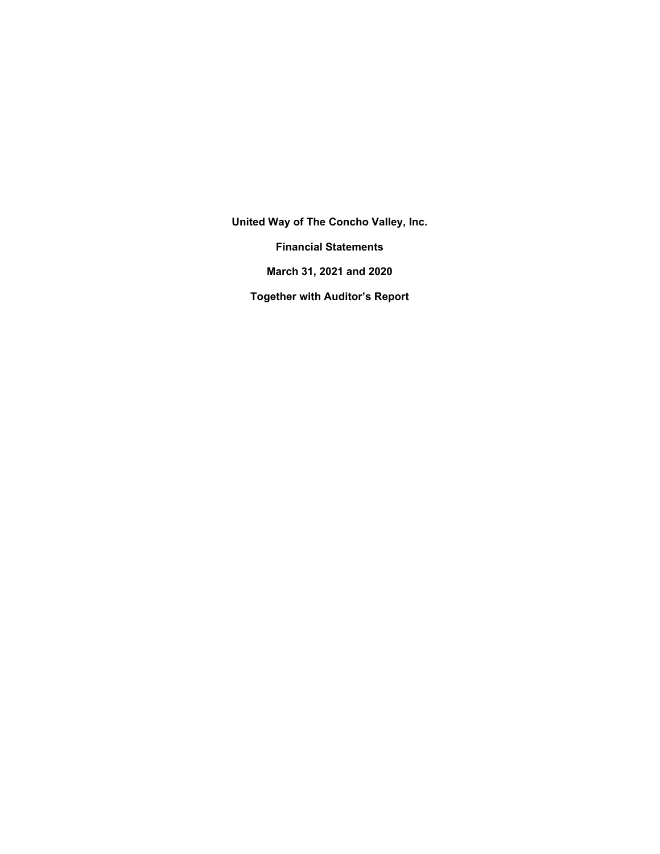**United Way of The Concho Valley, Inc. Financial Statements March 31, 2021 and 2020 Together with Auditor's Report**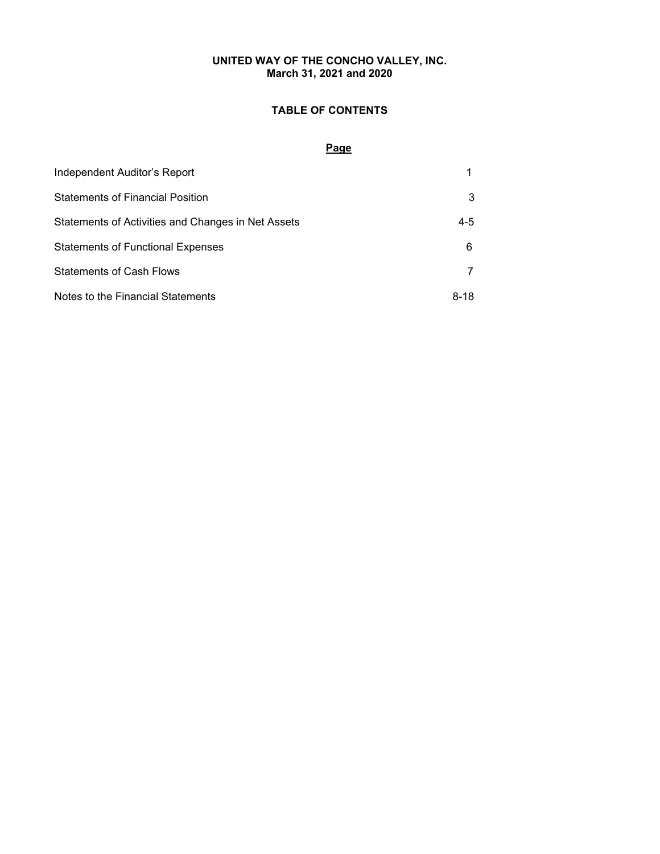# **UNITED WAY OF THE CONCHO VALLEY, INC. March 31, 2021 and 2020**

# **TABLE OF CONTENTS**

# **Page**

| Independent Auditor's Report                       |         |
|----------------------------------------------------|---------|
| <b>Statements of Financial Position</b>            | 3       |
| Statements of Activities and Changes in Net Assets | $4 - 5$ |
| <b>Statements of Functional Expenses</b>           | 6       |
| <b>Statements of Cash Flows</b>                    |         |
| Notes to the Financial Statements                  | 8-18    |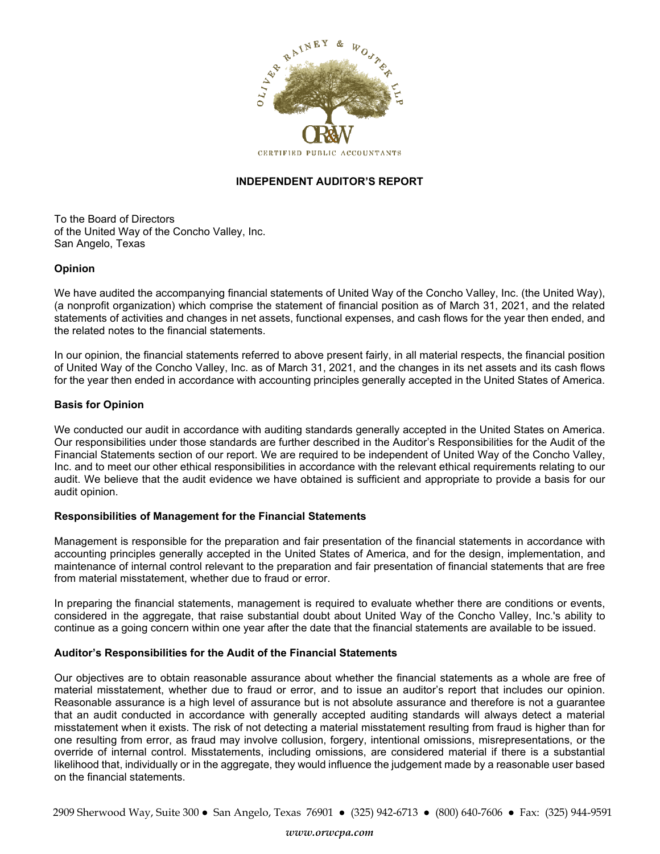

# **INDEPENDENT AUDITOR'S REPORT**

To the Board of Directors of the United Way of the Concho Valley, Inc. San Angelo, Texas

# **Opinion**

We have audited the accompanying financial statements of United Way of the Concho Valley, Inc. (the United Way), (a nonprofit organization) which comprise the statement of financial position as of March 31, 2021, and the related statements of activities and changes in net assets, functional expenses, and cash flows for the year then ended, and the related notes to the financial statements.

In our opinion, the financial statements referred to above present fairly, in all material respects, the financial position of United Way of the Concho Valley, Inc. as of March 31, 2021, and the changes in its net assets and its cash flows for the year then ended in accordance with accounting principles generally accepted in the United States of America.

# **Basis for Opinion**

We conducted our audit in accordance with auditing standards generally accepted in the United States on America. Our responsibilities under those standards are further described in the Auditor's Responsibilities for the Audit of the Financial Statements section of our report. We are required to be independent of United Way of the Concho Valley, Inc. and to meet our other ethical responsibilities in accordance with the relevant ethical requirements relating to our audit. We believe that the audit evidence we have obtained is sufficient and appropriate to provide a basis for our audit opinion.

# **Responsibilities of Management for the Financial Statements**

Management is responsible for the preparation and fair presentation of the financial statements in accordance with accounting principles generally accepted in the United States of America, and for the design, implementation, and maintenance of internal control relevant to the preparation and fair presentation of financial statements that are free from material misstatement, whether due to fraud or error.

In preparing the financial statements, management is required to evaluate whether there are conditions or events, considered in the aggregate, that raise substantial doubt about United Way of the Concho Valley, Inc.'s ability to continue as a going concern within one year after the date that the financial statements are available to be issued.

# **Auditor's Responsibilities for the Audit of the Financial Statements**

Our objectives are to obtain reasonable assurance about whether the financial statements as a whole are free of material misstatement, whether due to fraud or error, and to issue an auditor's report that includes our opinion. Reasonable assurance is a high level of assurance but is not absolute assurance and therefore is not a guarantee that an audit conducted in accordance with generally accepted auditing standards will always detect a material misstatement when it exists. The risk of not detecting a material misstatement resulting from fraud is higher than for one resulting from error, as fraud may involve collusion, forgery, intentional omissions, misrepresentations, or the override of internal control. Misstatements, including omissions, are considered material if there is a substantial likelihood that, individually or in the aggregate, they would influence the judgement made by a reasonable user based on the financial statements.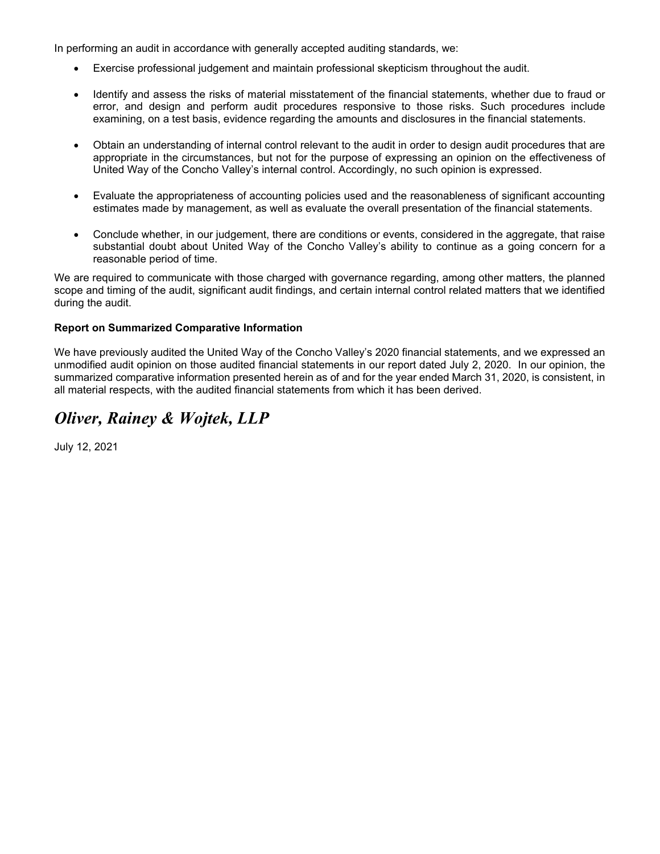In performing an audit in accordance with generally accepted auditing standards, we:

- Exercise professional judgement and maintain professional skepticism throughout the audit.
- Identify and assess the risks of material misstatement of the financial statements, whether due to fraud or error, and design and perform audit procedures responsive to those risks. Such procedures include examining, on a test basis, evidence regarding the amounts and disclosures in the financial statements.
- Obtain an understanding of internal control relevant to the audit in order to design audit procedures that are appropriate in the circumstances, but not for the purpose of expressing an opinion on the effectiveness of United Way of the Concho Valley's internal control. Accordingly, no such opinion is expressed.
- Evaluate the appropriateness of accounting policies used and the reasonableness of significant accounting estimates made by management, as well as evaluate the overall presentation of the financial statements.
- Conclude whether, in our judgement, there are conditions or events, considered in the aggregate, that raise substantial doubt about United Way of the Concho Valley's ability to continue as a going concern for a reasonable period of time.

We are required to communicate with those charged with governance regarding, among other matters, the planned scope and timing of the audit, significant audit findings, and certain internal control related matters that we identified during the audit.

# **Report on Summarized Comparative Information**

We have previously audited the United Way of the Concho Valley's 2020 financial statements, and we expressed an unmodified audit opinion on those audited financial statements in our report dated July 2, 2020. In our opinion, the summarized comparative information presented herein as of and for the year ended March 31, 2020, is consistent, in all material respects, with the audited financial statements from which it has been derived.

# *Oliver, Rainey & Wojtek, LLP*

July 12, 2021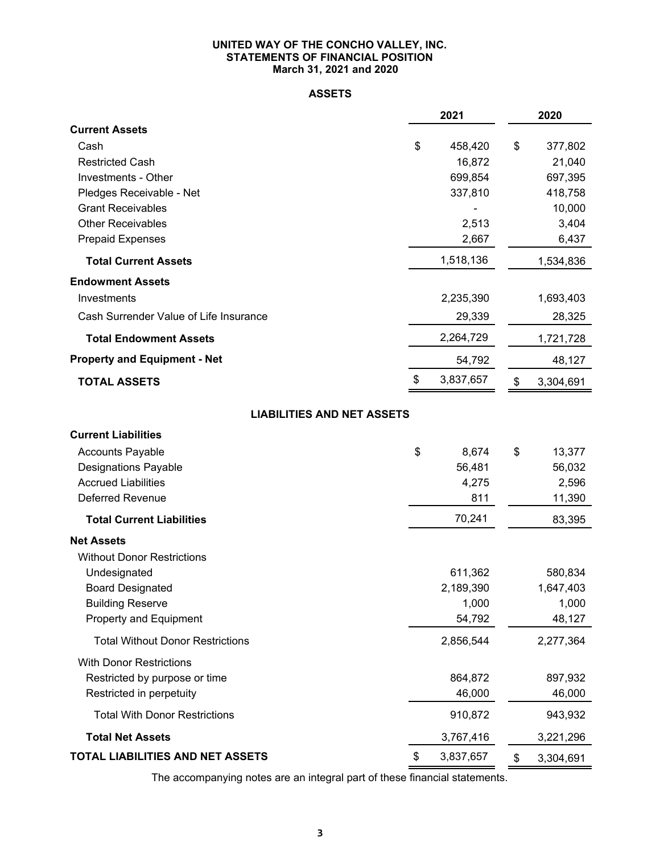# **UNITED WAY OF THE CONCHO VALLEY, INC. STATEMENTS OF FINANCIAL POSITION March 31, 2021 and 2020**

# **ASSETS**

|                                                           | 2021            | 2020              |
|-----------------------------------------------------------|-----------------|-------------------|
| <b>Current Assets</b>                                     |                 |                   |
| Cash                                                      | \$<br>458,420   | \$<br>377,802     |
| <b>Restricted Cash</b>                                    | 16,872          | 21,040            |
| Investments - Other                                       | 699,854         | 697,395           |
| Pledges Receivable - Net<br><b>Grant Receivables</b>      | 337,810         | 418,758<br>10,000 |
| <b>Other Receivables</b>                                  | 2,513           | 3,404             |
| <b>Prepaid Expenses</b>                                   | 2,667           | 6,437             |
| <b>Total Current Assets</b>                               | 1,518,136       | 1,534,836         |
| <b>Endowment Assets</b>                                   |                 |                   |
| Investments                                               | 2,235,390       | 1,693,403         |
| Cash Surrender Value of Life Insurance                    | 29,339          | 28,325            |
| <b>Total Endowment Assets</b>                             | 2,264,729       | 1,721,728         |
| <b>Property and Equipment - Net</b>                       | 54,792          | 48,127            |
| <b>TOTAL ASSETS</b>                                       | \$<br>3,837,657 | \$<br>3,304,691   |
| <b>LIABILITIES AND NET ASSETS</b>                         |                 |                   |
|                                                           |                 |                   |
| <b>Current Liabilities</b>                                |                 |                   |
| <b>Accounts Payable</b>                                   | \$<br>8,674     | \$<br>13,377      |
| <b>Designations Payable</b><br><b>Accrued Liabilities</b> | 56,481<br>4,275 | 56,032<br>2,596   |
| Deferred Revenue                                          | 811             | 11,390            |
| <b>Total Current Liabilities</b>                          | 70,241          | 83,395            |
| <b>Net Assets</b>                                         |                 |                   |
| <b>Without Donor Restrictions</b>                         |                 |                   |
| Undesignated                                              | 611,362         | 580,834           |
| <b>Board Designated</b>                                   | 2,189,390       | 1,647,403         |
| <b>Building Reserve</b>                                   | 1,000           | 1,000             |
| Property and Equipment                                    | 54,792          | 48,127            |
| <b>Total Without Donor Restrictions</b>                   | 2,856,544       | 2,277,364         |
| <b>With Donor Restrictions</b>                            |                 |                   |
| Restricted by purpose or time                             | 864,872         | 897,932           |
| Restricted in perpetuity                                  | 46,000          | 46,000            |
| <b>Total With Donor Restrictions</b>                      | 910,872         | 943,932           |
| <b>Total Net Assets</b>                                   | 3,767,416       | 3,221,296         |
| <b>TOTAL LIABILITIES AND NET ASSETS</b>                   | \$<br>3,837,657 | \$<br>3,304,691   |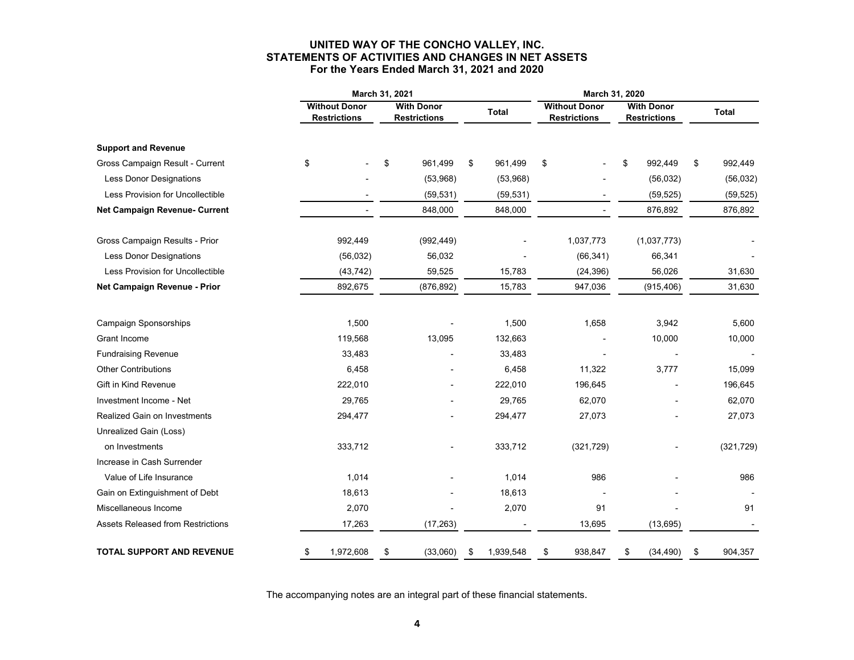# **UNITED WAY OF THE CONCHO VALLEY, INC. STATEMENTS OF ACTIVITIES AND CHANGES IN NET ASSETS For the Years Ended March 31, 2021 and 2020**

|                                                          | March 31, 2021                              |                   |    |                                          |    | March 31, 2020    |                                             |                                          |               |
|----------------------------------------------------------|---------------------------------------------|-------------------|----|------------------------------------------|----|-------------------|---------------------------------------------|------------------------------------------|---------------|
|                                                          | <b>Without Donor</b><br><b>Restrictions</b> |                   |    | <b>With Donor</b><br><b>Restrictions</b> |    | <b>Total</b>      | <b>Without Donor</b><br><b>Restrictions</b> | <b>With Donor</b><br><b>Restrictions</b> | <b>Total</b>  |
| <b>Support and Revenue</b>                               |                                             |                   |    |                                          |    |                   |                                             |                                          |               |
| Gross Campaign Result - Current                          | \$                                          |                   | \$ | 961,499                                  | \$ | 961,499           | \$                                          | \$<br>992,449                            | \$<br>992,449 |
| Less Donor Designations                                  |                                             |                   |    | (53,968)                                 |    | (53,968)          |                                             | (56, 032)                                | (56, 032)     |
| Less Provision for Uncollectible                         |                                             |                   |    | (59, 531)                                |    | (59, 531)         |                                             | (59, 525)                                | (59, 525)     |
| Net Campaign Revenue- Current                            |                                             |                   |    | 848,000                                  |    | 848,000           |                                             | 876,892                                  | 876,892       |
| Gross Campaign Results - Prior                           |                                             | 992,449           |    | (992, 449)                               |    |                   | 1,037,773                                   | (1,037,773)                              |               |
| Less Donor Designations                                  |                                             | (56, 032)         |    | 56,032                                   |    |                   | (66, 341)                                   | 66,341                                   |               |
| Less Provision for Uncollectible                         |                                             | (43, 742)         |    | 59,525                                   |    | 15,783            | (24, 396)                                   | 56,026                                   | 31,630        |
| Net Campaign Revenue - Prior                             |                                             | 892,675           |    | (876, 892)                               |    | 15,783            | 947,036                                     | (915, 406)                               | 31,630        |
|                                                          |                                             |                   |    |                                          |    | 1,500             | 1,658                                       |                                          |               |
| <b>Campaign Sponsorships</b><br><b>Grant Income</b>      |                                             | 1,500             |    |                                          |    | 132,663           |                                             | 3,942<br>10,000                          | 5,600         |
|                                                          |                                             | 119,568           |    | 13,095                                   |    |                   |                                             |                                          | 10,000        |
| <b>Fundraising Revenue</b><br><b>Other Contributions</b> |                                             | 33,483<br>6,458   |    |                                          |    | 33,483<br>6,458   | 11,322                                      | 3,777                                    | 15,099        |
| <b>Gift in Kind Revenue</b>                              |                                             |                   |    |                                          |    |                   | 196,645                                     |                                          |               |
|                                                          |                                             | 222,010<br>29,765 |    |                                          |    | 222,010<br>29,765 | 62,070                                      |                                          | 196,645       |
| Investment Income - Net                                  |                                             |                   |    |                                          |    |                   | 27,073                                      |                                          | 62,070        |
| <b>Realized Gain on Investments</b>                      |                                             | 294,477           |    |                                          |    | 294,477           |                                             |                                          | 27,073        |
| Unrealized Gain (Loss)                                   |                                             |                   |    |                                          |    |                   |                                             |                                          |               |
| on Investments                                           |                                             | 333,712           |    |                                          |    | 333,712           | (321, 729)                                  |                                          | (321, 729)    |
| Increase in Cash Surrender                               |                                             |                   |    |                                          |    |                   |                                             |                                          |               |
| Value of Life Insurance                                  |                                             | 1,014             |    |                                          |    | 1,014             | 986                                         |                                          | 986           |
| Gain on Extinguishment of Debt                           |                                             | 18,613            |    |                                          |    | 18,613            |                                             |                                          |               |
| Miscellaneous Income                                     |                                             | 2,070             |    |                                          |    | 2,070             | 91                                          |                                          | 91            |
| <b>Assets Released from Restrictions</b>                 |                                             | 17,263            |    | (17, 263)                                |    |                   | 13,695                                      | (13, 695)                                |               |
| <b>TOTAL SUPPORT AND REVENUE</b>                         | \$                                          | 1,972,608         | \$ | (33,060)                                 | \$ | 1,939,548         | \$<br>938,847                               | \$<br>(34, 490)                          | \$<br>904,357 |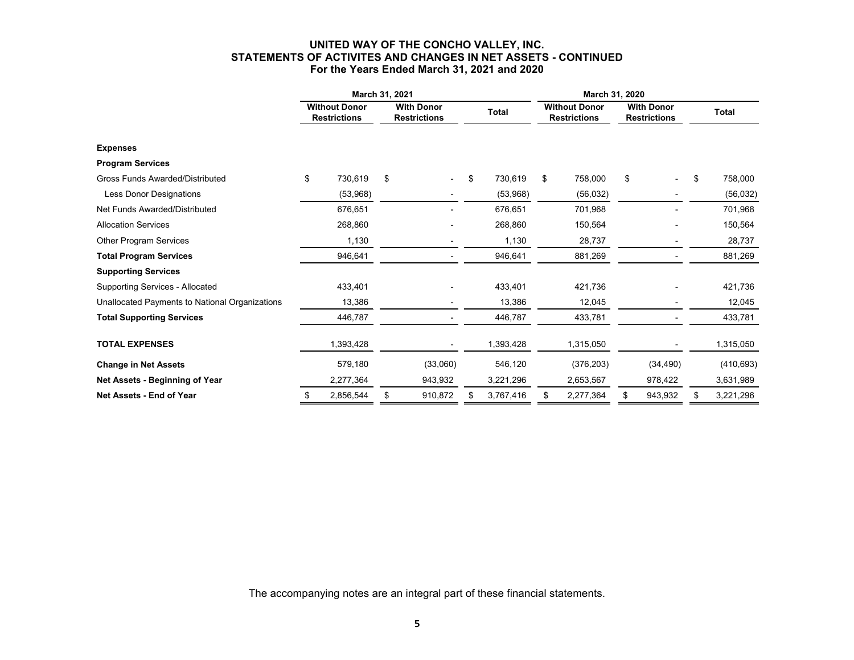# **UNITED WAY OF THE CONCHO VALLEY, INC. STATEMENTS OF ACTIVITES AND CHANGES IN NET ASSETS - CONTINUED For the Years Ended March 31, 2021 and 2020**

|                                                | March 31, 2021                              |           |                                          |                |       |           | March 31, 2020                              |            |                                          |           |    |              |
|------------------------------------------------|---------------------------------------------|-----------|------------------------------------------|----------------|-------|-----------|---------------------------------------------|------------|------------------------------------------|-----------|----|--------------|
|                                                | <b>Without Donor</b><br><b>Restrictions</b> |           | <b>With Donor</b><br><b>Restrictions</b> |                | Total |           | <b>Without Donor</b><br><b>Restrictions</b> |            | <b>With Donor</b><br><b>Restrictions</b> |           |    | <b>Total</b> |
| <b>Expenses</b>                                |                                             |           |                                          |                |       |           |                                             |            |                                          |           |    |              |
| <b>Program Services</b>                        |                                             |           |                                          |                |       |           |                                             |            |                                          |           |    |              |
| <b>Gross Funds Awarded/Distributed</b>         | \$                                          | 730,619   | \$                                       |                | \$    | 730,619   | \$                                          | 758,000    | \$                                       |           | \$ | 758,000      |
| <b>Less Donor Designations</b>                 |                                             | (53,968)  |                                          |                |       | (53,968)  |                                             | (56, 032)  |                                          |           |    | (56, 032)    |
| Net Funds Awarded/Distributed                  |                                             | 676,651   |                                          |                |       | 676,651   |                                             | 701,968    |                                          |           |    | 701,968      |
| <b>Allocation Services</b>                     |                                             | 268,860   |                                          |                |       | 268,860   |                                             | 150,564    |                                          |           |    | 150,564      |
| <b>Other Program Services</b>                  |                                             | 1,130     |                                          | $\blacksquare$ |       | 1,130     |                                             | 28,737     |                                          | -         |    | 28,737       |
| <b>Total Program Services</b>                  |                                             | 946,641   |                                          |                |       | 946,641   |                                             | 881,269    |                                          |           |    | 881,269      |
| <b>Supporting Services</b>                     |                                             |           |                                          |                |       |           |                                             |            |                                          |           |    |              |
| <b>Supporting Services - Allocated</b>         |                                             | 433,401   |                                          |                |       | 433,401   |                                             | 421,736    |                                          |           |    | 421,736      |
| Unallocated Payments to National Organizations |                                             | 13,386    |                                          |                |       | 13,386    |                                             | 12,045     |                                          |           |    | 12,045       |
| <b>Total Supporting Services</b>               |                                             | 446,787   |                                          |                |       | 446,787   |                                             | 433,781    |                                          |           |    | 433,781      |
| <b>TOTAL EXPENSES</b>                          |                                             | 1,393,428 |                                          |                |       | 1,393,428 |                                             | 1,315,050  |                                          |           |    | 1,315,050    |
| <b>Change in Net Assets</b>                    |                                             | 579,180   |                                          | (33,060)       |       | 546,120   |                                             | (376, 203) |                                          | (34, 490) |    | (410, 693)   |
| Net Assets - Beginning of Year                 |                                             | 2,277,364 |                                          | 943,932        |       | 3,221,296 |                                             | 2,653,567  |                                          | 978,422   |    | 3,631,989    |
| Net Assets - End of Year                       | \$                                          | 2,856,544 | \$                                       | 910,872        | \$    | 3,767,416 |                                             | 2,277,364  | \$                                       | 943,932   | \$ | 3,221,296    |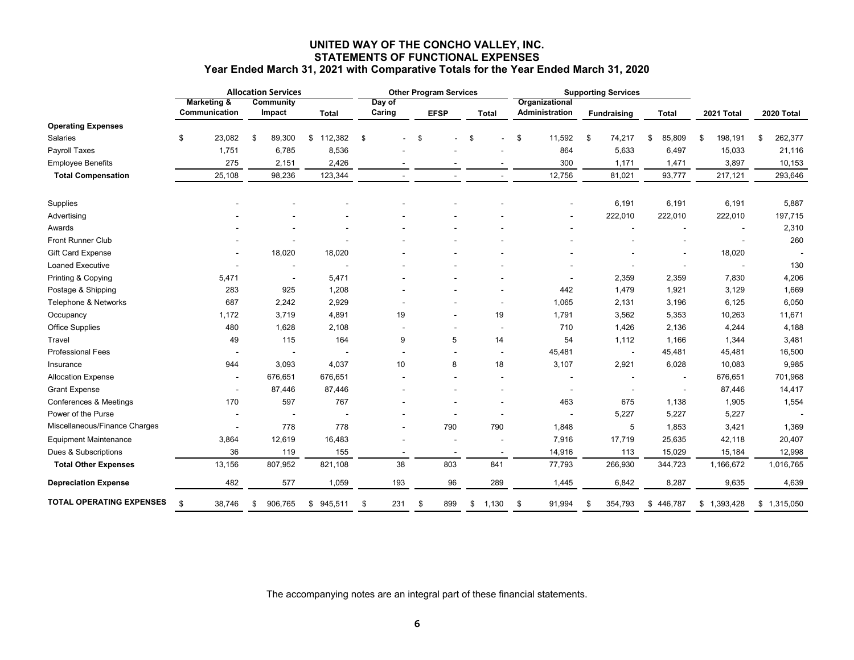# **UNITED WAY OF THE CONCHO VALLEY, INC. STATEMENTS OF FUNCTIONAL EXPENSES**

|                                 | <b>Allocation Services</b> |                                         |    | <b>Other Program Services</b> |               |                  |      | <b>Supporting Services</b> |    |       |    |                                  |    |                    |    |                          |                 |                 |
|---------------------------------|----------------------------|-----------------------------------------|----|-------------------------------|---------------|------------------|------|----------------------------|----|-------|----|----------------------------------|----|--------------------|----|--------------------------|-----------------|-----------------|
|                                 |                            | <b>Marketing &amp;</b><br>Communication |    | <b>Community</b><br>Impact    | Total         | Day of<br>Caring |      | <b>EFSP</b>                |    | Total |    | Organizational<br>Administration |    | <b>Fundraising</b> |    | Total                    | 2021 Total      | 2020 Total      |
| <b>Operating Expenses</b>       |                            |                                         |    |                               |               |                  |      |                            |    |       |    |                                  |    |                    |    |                          |                 |                 |
| Salaries                        | \$                         | 23,082                                  | \$ | 89,300                        | 112,382<br>\$ | \$               | - \$ |                            | \$ |       | \$ | 11,592                           | \$ | 74,217             | \$ | 85,809                   | \$<br>198,191   | \$<br>262,377   |
| Payroll Taxes                   |                            | 1,751                                   |    | 6,785                         | 8,536         |                  |      |                            |    |       |    | 864                              |    | 5,633              |    | 6,497                    | 15,033          | 21,116          |
| <b>Employee Benefits</b>        |                            | 275                                     |    | 2,151                         | 2,426         |                  |      |                            |    |       |    | 300                              |    | 1,171              |    | 1,471                    | 3,897           | 10,153          |
| <b>Total Compensation</b>       |                            | 25,108                                  |    | 98,236                        | 123,344       |                  |      |                            |    |       |    | 12,756                           |    | 81,021             |    | 93,777                   | 217,121         | 293,646         |
| Supplies                        |                            |                                         |    |                               |               |                  |      |                            |    |       |    |                                  |    | 6,191              |    | 6,191                    | 6,191           | 5,887           |
| Advertising                     |                            |                                         |    |                               |               |                  |      |                            |    |       |    |                                  |    | 222,010            |    | 222,010                  | 222,010         | 197,715         |
| Awards                          |                            |                                         |    |                               |               |                  |      |                            |    |       |    |                                  |    |                    |    |                          |                 | 2,310           |
| <b>Front Runner Club</b>        |                            |                                         |    |                               |               |                  |      |                            |    |       |    |                                  |    |                    |    |                          |                 | 260             |
| Gift Card Expense               |                            |                                         |    | 18,020                        | 18,020        |                  |      |                            |    |       |    |                                  |    |                    |    |                          | 18,020          |                 |
| <b>Loaned Executive</b>         |                            |                                         |    |                               |               |                  |      |                            |    |       |    |                                  |    |                    |    |                          |                 | 130             |
| Printing & Copying              |                            | 5,471                                   |    | $\overline{\phantom{a}}$      | 5,471         |                  |      |                            |    |       |    |                                  |    | 2,359              |    | 2,359                    | 7,830           | 4,206           |
| Postage & Shipping              |                            | 283                                     |    | 925                           | 1,208         |                  |      |                            |    |       |    | 442                              |    | 1,479              |    | 1,921                    | 3,129           | 1,669           |
| Telephone & Networks            |                            | 687                                     |    | 2,242                         | 2,929         |                  |      |                            |    |       |    | 1,065                            |    | 2,131              |    | 3,196                    | 6,125           | 6,050           |
| Occupancy                       |                            | 1,172                                   |    | 3,719                         | 4,891         | 19               |      |                            |    | 19    |    | 1,791                            |    | 3,562              |    | 5,353                    | 10,263          | 11,671          |
| Office Supplies                 |                            | 480                                     |    | 1,628                         | 2,108         |                  |      |                            |    |       |    | 710                              |    | 1,426              |    | 2,136                    | 4,244           | 4,188           |
| Travel                          |                            | 49                                      |    | 115                           | 164           | 9                |      | 5                          |    | 14    |    | 54                               |    | 1,112              |    | 1,166                    | 1,344           | 3,481           |
| Professional Fees               |                            |                                         |    |                               |               |                  |      |                            |    |       |    | 45,481                           |    |                    |    | 45,481                   | 45,481          | 16,500          |
| Insurance                       |                            | 944                                     |    | 3,093                         | 4,037         | 10               |      | 8                          |    | 18    |    | 3,107                            |    | 2,921              |    | 6,028                    | 10,083          | 9,985           |
| <b>Allocation Expense</b>       |                            |                                         |    | 676,651                       | 676,651       |                  |      |                            |    |       |    |                                  |    |                    |    | $\blacksquare$           | 676,651         | 701,968         |
| <b>Grant Expense</b>            |                            |                                         |    | 87,446                        | 87,446        |                  |      |                            |    |       |    |                                  |    |                    |    | $\overline{\phantom{a}}$ | 87,446          | 14,417          |
| Conferences & Meetings          |                            | 170                                     |    | 597                           | 767           |                  |      |                            |    |       |    | 463                              |    | 675                |    | 1,138                    | 1,905           | 1,554           |
| Power of the Purse              |                            |                                         |    |                               |               |                  |      |                            |    |       |    |                                  |    | 5,227              |    | 5,227                    | 5,227           |                 |
| Miscellaneous/Finance Charges   |                            |                                         |    | 778                           | 778           |                  |      | 790                        |    | 790   |    | 1,848                            |    | 5                  |    | 1,853                    | 3,421           | 1,369           |
| <b>Equipment Maintenance</b>    |                            | 3,864                                   |    | 12,619                        | 16,483        |                  |      |                            |    |       |    | 7,916                            |    | 17,719             |    | 25,635                   | 42,118          | 20,407          |
| Dues & Subscriptions            |                            | 36                                      |    | 119                           | 155           |                  |      |                            |    |       |    | 14,916                           |    | 113                |    | 15,029                   | 15,184          | 12,998          |
| <b>Total Other Expenses</b>     |                            | 13,156                                  |    | 807,952                       | 821,108       | 38               |      | 803                        |    | 841   |    | 77,793                           |    | 266,930            |    | 344,723                  | 1,166,672       | 1,016,765       |
| <b>Depreciation Expense</b>     |                            | 482                                     |    | 577                           | 1,059         | 193              |      | 96                         |    | 289   |    | 1,445                            |    | 6,842              |    | 8,287                    | 9,635           | 4,639           |
| <b>TOTAL OPERATING EXPENSES</b> | \$                         | 38,746                                  | \$ | 906,765                       | 945,511<br>\$ | \$<br>231        | \$   | 899                        | \$ | 1,130 | \$ | 91,994                           | \$ | 354,793            | \$ | 446,787                  | \$<br>1,393,428 | \$<br>1,315,050 |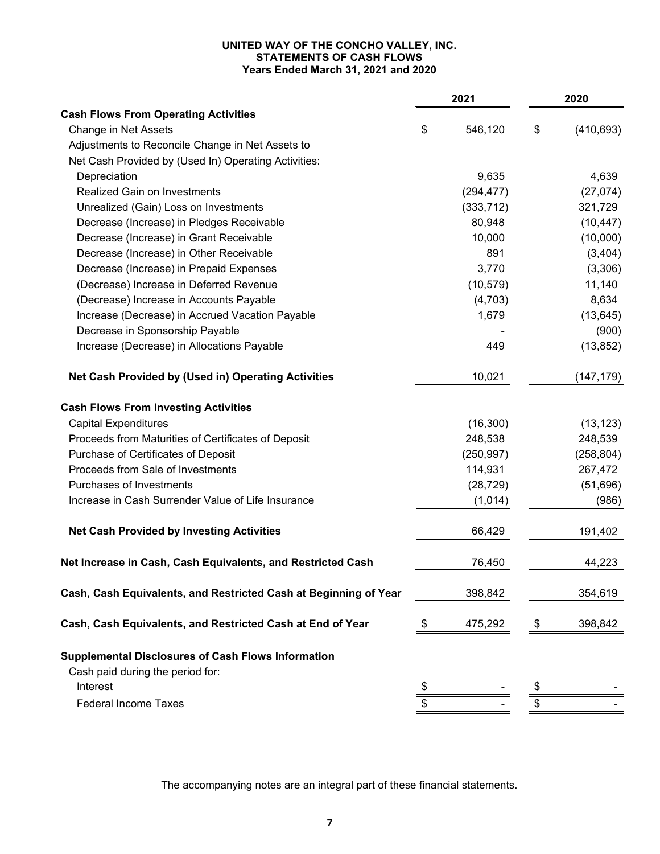# **UNITED WAY OF THE CONCHO VALLEY, INC. STATEMENTS OF CASH FLOWS Years Ended March 31, 2021 and 2020**

|                                                                  | 2021          | 2020 |            |  |
|------------------------------------------------------------------|---------------|------|------------|--|
| <b>Cash Flows From Operating Activities</b>                      |               |      |            |  |
| Change in Net Assets                                             | \$<br>546,120 | \$   | (410, 693) |  |
| Adjustments to Reconcile Change in Net Assets to                 |               |      |            |  |
| Net Cash Provided by (Used In) Operating Activities:             |               |      |            |  |
| Depreciation                                                     | 9,635         |      | 4,639      |  |
| <b>Realized Gain on Investments</b>                              | (294, 477)    |      | (27, 074)  |  |
| Unrealized (Gain) Loss on Investments                            | (333, 712)    |      | 321,729    |  |
| Decrease (Increase) in Pledges Receivable                        | 80,948        |      | (10, 447)  |  |
| Decrease (Increase) in Grant Receivable                          | 10,000        |      | (10,000)   |  |
| Decrease (Increase) in Other Receivable                          | 891           |      | (3, 404)   |  |
| Decrease (Increase) in Prepaid Expenses                          | 3,770         |      | (3,306)    |  |
| (Decrease) Increase in Deferred Revenue                          | (10, 579)     |      | 11,140     |  |
| (Decrease) Increase in Accounts Payable                          | (4,703)       |      | 8,634      |  |
| Increase (Decrease) in Accrued Vacation Payable                  | 1,679         |      | (13, 645)  |  |
| Decrease in Sponsorship Payable                                  |               |      | (900)      |  |
| Increase (Decrease) in Allocations Payable                       | 449           |      | (13, 852)  |  |
| Net Cash Provided by (Used in) Operating Activities              | 10,021        |      | (147, 179) |  |
| <b>Cash Flows From Investing Activities</b>                      |               |      |            |  |
| <b>Capital Expenditures</b>                                      | (16, 300)     |      | (13, 123)  |  |
| Proceeds from Maturities of Certificates of Deposit              | 248,538       |      | 248,539    |  |
| Purchase of Certificates of Deposit                              | (250, 997)    |      | (258, 804) |  |
| Proceeds from Sale of Investments                                | 114,931       |      | 267,472    |  |
| Purchases of Investments                                         | (28, 729)     |      | (51,696)   |  |
| Increase in Cash Surrender Value of Life Insurance               | (1,014)       |      | (986)      |  |
| <b>Net Cash Provided by Investing Activities</b>                 | 66,429        |      | 191,402    |  |
| Net Increase in Cash, Cash Equivalents, and Restricted Cash      | 76,450        |      | 44,223     |  |
| Cash, Cash Equivalents, and Restricted Cash at Beginning of Year | 398,842       |      | 354,619    |  |
| Cash, Cash Equivalents, and Restricted Cash at End of Year       | 475,292       |      | 398,842    |  |
| <b>Supplemental Disclosures of Cash Flows Information</b>        |               |      |            |  |
| Cash paid during the period for:                                 |               |      |            |  |
| Interest                                                         | \$            |      |            |  |
| <b>Federal Income Taxes</b>                                      |               |      |            |  |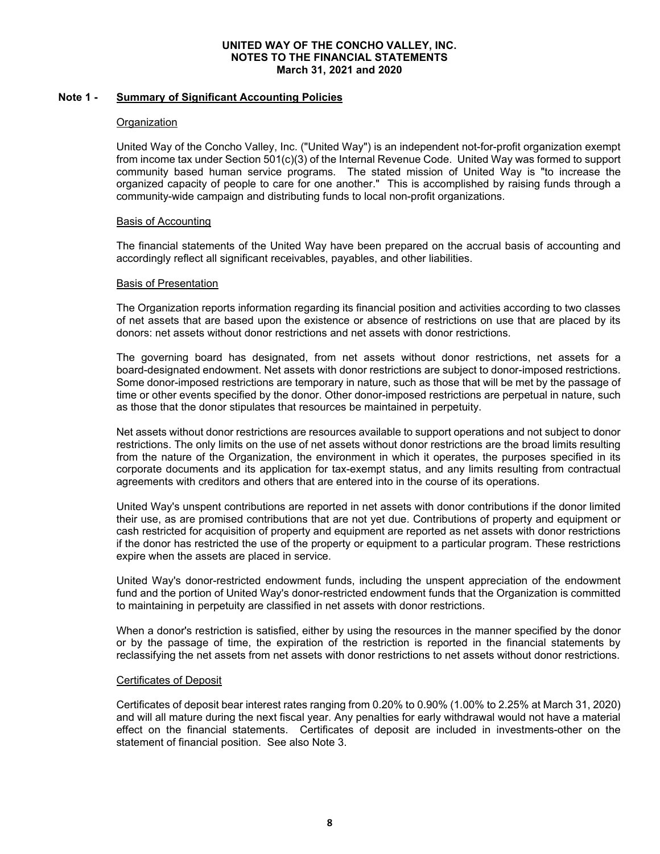# **Note 1 - Summary of Significant Accounting Policies**

# **Organization**

United Way of the Concho Valley, Inc. ("United Way") is an independent not-for-profit organization exempt from income tax under Section 501(c)(3) of the Internal Revenue Code. United Way was formed to support community based human service programs. The stated mission of United Way is "to increase the organized capacity of people to care for one another." This is accomplished by raising funds through a community-wide campaign and distributing funds to local non-profit organizations.

# Basis of Accounting

The financial statements of the United Way have been prepared on the accrual basis of accounting and accordingly reflect all significant receivables, payables, and other liabilities.

# Basis of Presentation

The Organization reports information regarding its financial position and activities according to two classes of net assets that are based upon the existence or absence of restrictions on use that are placed by its donors: net assets without donor restrictions and net assets with donor restrictions.

The governing board has designated, from net assets without donor restrictions, net assets for a board-designated endowment. Net assets with donor restrictions are subject to donor-imposed restrictions. Some donor-imposed restrictions are temporary in nature, such as those that will be met by the passage of time or other events specified by the donor. Other donor-imposed restrictions are perpetual in nature, such as those that the donor stipulates that resources be maintained in perpetuity.

Net assets without donor restrictions are resources available to support operations and not subject to donor restrictions. The only limits on the use of net assets without donor restrictions are the broad limits resulting from the nature of the Organization, the environment in which it operates, the purposes specified in its corporate documents and its application for tax-exempt status, and any limits resulting from contractual agreements with creditors and others that are entered into in the course of its operations.

United Way's unspent contributions are reported in net assets with donor contributions if the donor limited their use, as are promised contributions that are not yet due. Contributions of property and equipment or cash restricted for acquisition of property and equipment are reported as net assets with donor restrictions if the donor has restricted the use of the property or equipment to a particular program. These restrictions expire when the assets are placed in service.

United Way's donor-restricted endowment funds, including the unspent appreciation of the endowment fund and the portion of United Way's donor-restricted endowment funds that the Organization is committed to maintaining in perpetuity are classified in net assets with donor restrictions.

When a donor's restriction is satisfied, either by using the resources in the manner specified by the donor or by the passage of time, the expiration of the restriction is reported in the financial statements by reclassifying the net assets from net assets with donor restrictions to net assets without donor restrictions.

# Certificates of Deposit

Certificates of deposit bear interest rates ranging from 0.20% to 0.90% (1.00% to 2.25% at March 31, 2020) and will all mature during the next fiscal year. Any penalties for early withdrawal would not have a material effect on the financial statements. Certificates of deposit are included in investments-other on the statement of financial position. See also Note 3.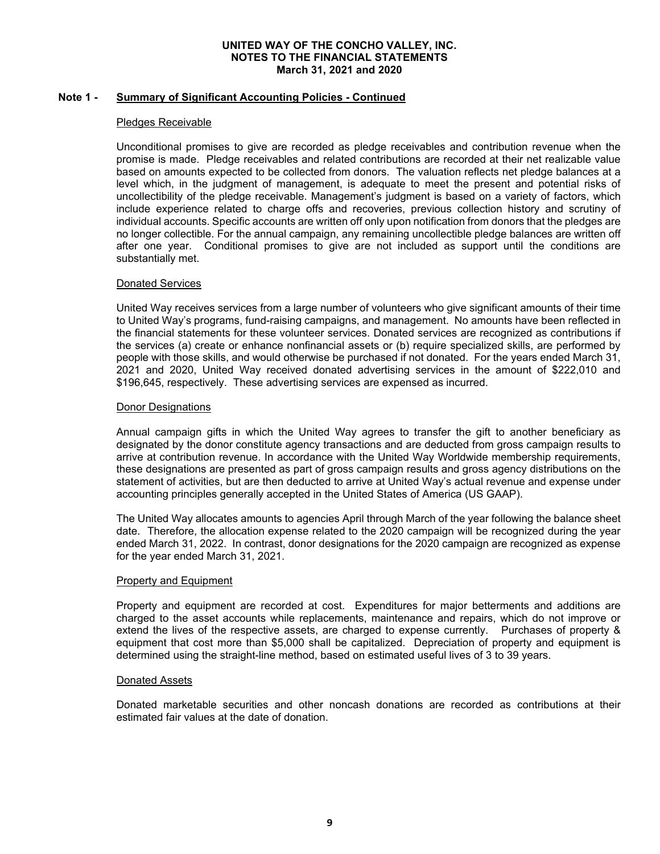# **Note 1 - Summary of Significant Accounting Policies - Continued**

# Pledges Receivable

Unconditional promises to give are recorded as pledge receivables and contribution revenue when the promise is made. Pledge receivables and related contributions are recorded at their net realizable value based on amounts expected to be collected from donors. The valuation reflects net pledge balances at a level which, in the judgment of management, is adequate to meet the present and potential risks of uncollectibility of the pledge receivable. Management's judgment is based on a variety of factors, which include experience related to charge offs and recoveries, previous collection history and scrutiny of individual accounts. Specific accounts are written off only upon notification from donors that the pledges are no longer collectible. For the annual campaign, any remaining uncollectible pledge balances are written off after one year. Conditional promises to give are not included as support until the conditions are substantially met.

# Donated Services

United Way receives services from a large number of volunteers who give significant amounts of their time to United Way's programs, fund-raising campaigns, and management. No amounts have been reflected in the financial statements for these volunteer services. Donated services are recognized as contributions if the services (a) create or enhance nonfinancial assets or (b) require specialized skills, are performed by people with those skills, and would otherwise be purchased if not donated. For the years ended March 31, 2021 and 2020, United Way received donated advertising services in the amount of \$222,010 and \$196,645, respectively. These advertising services are expensed as incurred.

# Donor Designations

Annual campaign gifts in which the United Way agrees to transfer the gift to another beneficiary as designated by the donor constitute agency transactions and are deducted from gross campaign results to arrive at contribution revenue. In accordance with the United Way Worldwide membership requirements, these designations are presented as part of gross campaign results and gross agency distributions on the statement of activities, but are then deducted to arrive at United Way's actual revenue and expense under accounting principles generally accepted in the United States of America (US GAAP).

The United Way allocates amounts to agencies April through March of the year following the balance sheet date. Therefore, the allocation expense related to the 2020 campaign will be recognized during the year ended March 31, 2022. In contrast, donor designations for the 2020 campaign are recognized as expense for the year ended March 31, 2021.

# Property and Equipment

Property and equipment are recorded at cost. Expenditures for major betterments and additions are charged to the asset accounts while replacements, maintenance and repairs, which do not improve or extend the lives of the respective assets, are charged to expense currently. Purchases of property & equipment that cost more than \$5,000 shall be capitalized. Depreciation of property and equipment is determined using the straight-line method, based on estimated useful lives of 3 to 39 years.

# Donated Assets

Donated marketable securities and other noncash donations are recorded as contributions at their estimated fair values at the date of donation.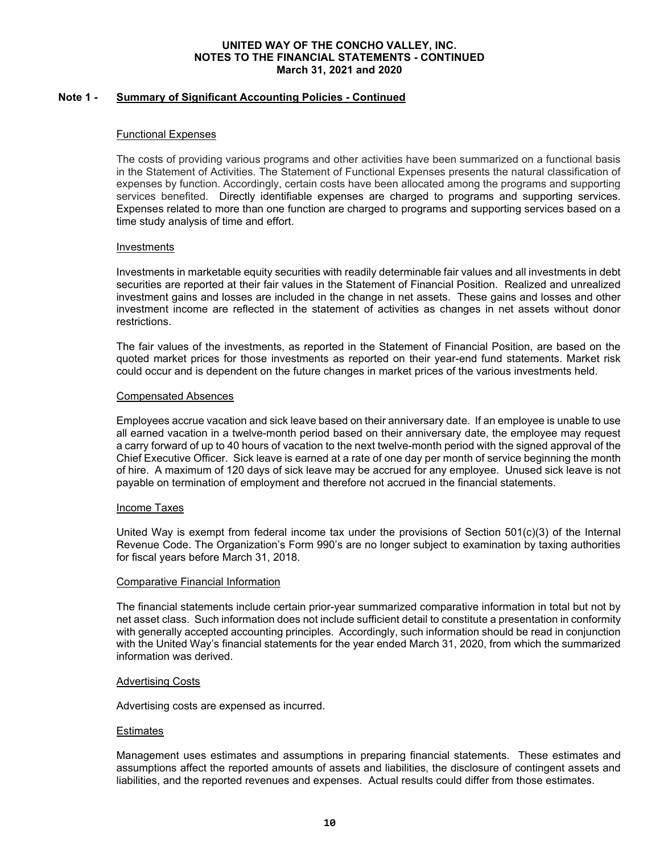# **Note 1 - Summary of Significant Accounting Policies - Continued**

#### Functional Expenses

The costs of providing various programs and other activities have been summarized on a functional basis in the Statement of Activities. The Statement of Functional Expenses presents the natural classification of expenses by function. Accordingly, certain costs have been allocated among the programs and supporting services benefited. Directly identifiable expenses are charged to programs and supporting services. Expenses related to more than one function are charged to programs and supporting services based on a time study analysis of time and effort.

#### Investments

Investments in marketable equity securities with readily determinable fair values and all investments in debt securities are reported at their fair values in the Statement of Financial Position. Realized and unrealized investment gains and losses are included in the change in net assets. These gains and losses and other investment income are reflected in the statement of activities as changes in net assets without donor restrictions.

The fair values of the investments, as reported in the Statement of Financial Position, are based on the quoted market prices for those investments as reported on their year-end fund statements. Market risk could occur and is dependent on the future changes in market prices of the various investments held.

#### Compensated Absences

Employees accrue vacation and sick leave based on their anniversary date. If an employee is unable to use all earned vacation in a twelve-month period based on their anniversary date, the employee may request a carry forward of up to 40 hours of vacation to the next twelve-month period with the signed approval of the Chief Executive Officer. Sick leave is earned at a rate of one day per month of service beginning the month of hire. A maximum of 120 days of sick leave may be accrued for any employee. Unused sick leave is not payable on termination of employment and therefore not accrued in the financial statements.

#### Income Taxes

United Way is exempt from federal income tax under the provisions of Section  $501(c)(3)$  of the Internal Revenue Code. The Organization's Form 990's are no longer subject to examination by taxing authorities for fiscal years before March 31, 2018.

# Comparative Financial Information

The financial statements include certain prior-year summarized comparative information in total but not by net asset class. Such information does not include sufficient detail to constitute a presentation in conformity with generally accepted accounting principles. Accordingly, such information should be read in conjunction with the United Way's financial statements for the year ended March 31, 2020, from which the summarized information was derived.

#### Advertising Costs

Advertising costs are expensed as incurred.

#### **Estimates**

Management uses estimates and assumptions in preparing financial statements. These estimates and assumptions affect the reported amounts of assets and liabilities, the disclosure of contingent assets and liabilities, and the reported revenues and expenses. Actual results could differ from those estimates.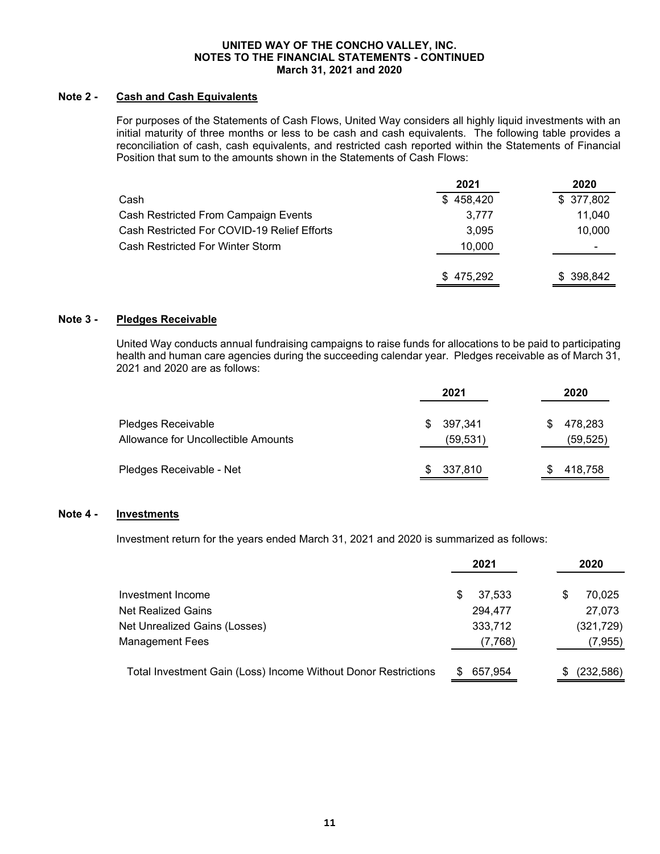# **Note 2 - Cash and Cash Equivalents**

For purposes of the Statements of Cash Flows, United Way considers all highly liquid investments with an initial maturity of three months or less to be cash and cash equivalents. The following table provides a reconciliation of cash, cash equivalents, and restricted cash reported within the Statements of Financial Position that sum to the amounts shown in the Statements of Cash Flows:

|                                             | 2021      | 2020      |
|---------------------------------------------|-----------|-----------|
| Cash                                        | \$458,420 | \$377,802 |
| Cash Restricted From Campaign Events        | 3,777     | 11.040    |
| Cash Restricted For COVID-19 Relief Efforts | 3.095     | 10,000    |
| Cash Restricted For Winter Storm            | 10,000    | ۰         |
|                                             | \$475,292 | \$398,842 |

# **Note 3 - Pledges Receivable**

United Way conducts annual fundraising campaigns to raise funds for allocations to be paid to participating health and human care agencies during the succeeding calendar year. Pledges receivable as of March 31, 2021 and 2020 are as follows:

|                                                           | 2021                       | 2020                       |
|-----------------------------------------------------------|----------------------------|----------------------------|
| Pledges Receivable<br>Allowance for Uncollectible Amounts | 397,341<br>S.<br>(59, 531) | 478,283<br>S.<br>(59, 525) |
| Pledges Receivable - Net                                  | 337,810<br>S.              | 418,758                    |

# **Note 4 - Investments**

Investment return for the years ended March 31, 2021 and 2020 is summarized as follows:

|                                                                | 2021        | 2020       |
|----------------------------------------------------------------|-------------|------------|
| Investment Income                                              | 37.533<br>S | 70,025     |
| <b>Net Realized Gains</b>                                      | 294,477     | 27,073     |
| Net Unrealized Gains (Losses)                                  | 333,712     | (321, 729) |
| <b>Management Fees</b>                                         | (7,768)     | (7, 955)   |
| Total Investment Gain (Loss) Income Without Donor Restrictions | 657,954     | (232, 586) |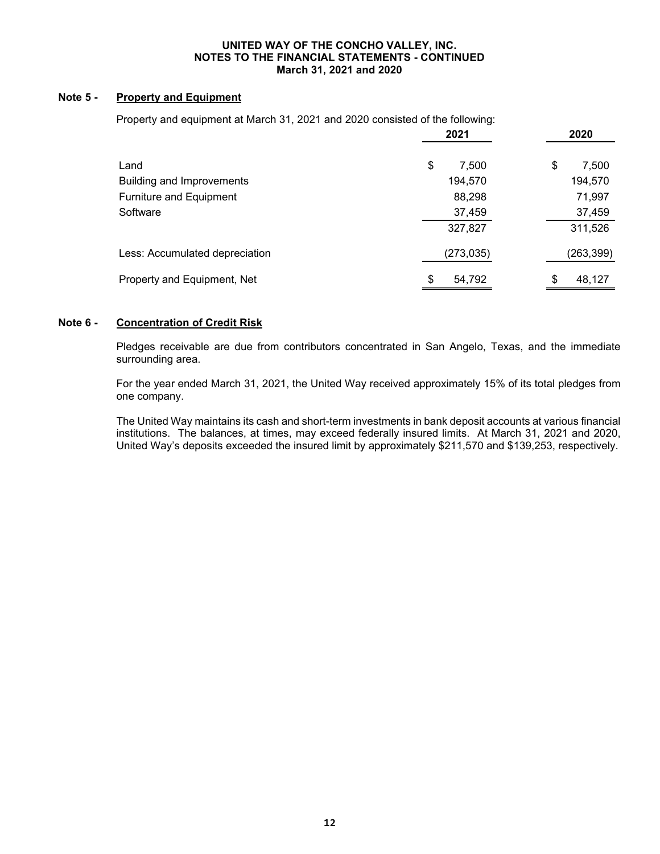# **Note 5 - Property and Equipment**

Property and equipment at March 31, 2021 and 2020 consisted of the following:

|                                | 2021         | 2020         |
|--------------------------------|--------------|--------------|
| Land                           | \$<br>7,500  | \$<br>7,500  |
| Building and Improvements      | 194,570      | 194,570      |
| <b>Furniture and Equipment</b> | 88,298       | 71,997       |
| Software                       | 37,459       | 37,459       |
|                                | 327,827      | 311,526      |
| Less: Accumulated depreciation | (273, 035)   | (263, 399)   |
| Property and Equipment, Net    | \$<br>54.792 | 48,127<br>\$ |

# **Note 6 - Concentration of Credit Risk**

Pledges receivable are due from contributors concentrated in San Angelo, Texas, and the immediate surrounding area.

For the year ended March 31, 2021, the United Way received approximately 15% of its total pledges from one company.

The United Way maintains its cash and short-term investments in bank deposit accounts at various financial institutions. The balances, at times, may exceed federally insured limits. At March 31, 2021 and 2020, United Way's deposits exceeded the insured limit by approximately \$211,570 and \$139,253, respectively.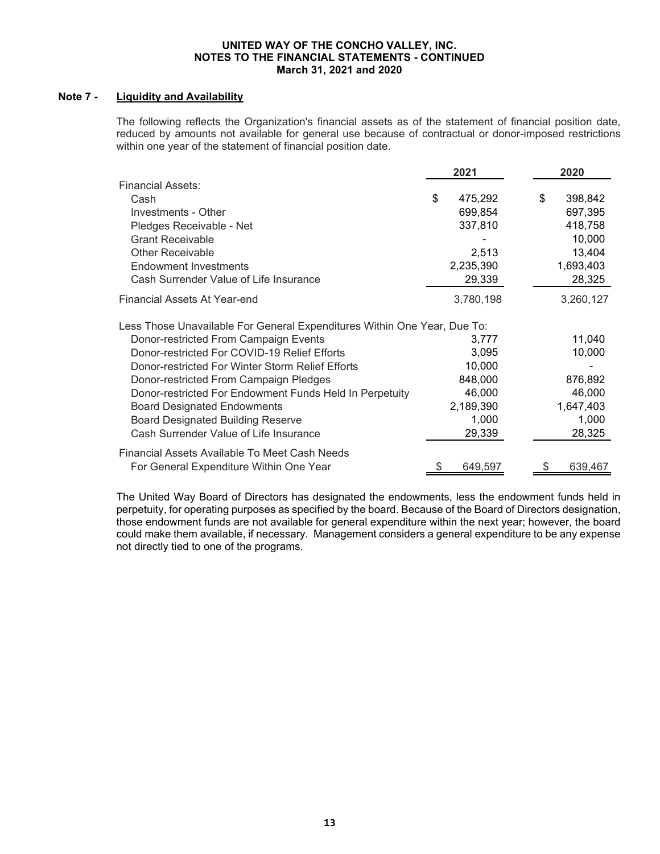# **Note 7 - Liquidity and Availability**

The following reflects the Organization's financial assets as of the statement of financial position date, reduced by amounts not available for general use because of contractual or donor-imposed restrictions within one year of the statement of financial position date.

|                                                                          | 2021          | 2020          |
|--------------------------------------------------------------------------|---------------|---------------|
| <b>Financial Assets:</b>                                                 |               |               |
| Cash                                                                     | \$<br>475,292 | \$<br>398,842 |
| Investments - Other                                                      | 699,854       | 697,395       |
| Pledges Receivable - Net                                                 | 337,810       | 418,758       |
| <b>Grant Receivable</b>                                                  |               | 10,000        |
| <b>Other Receivable</b>                                                  | 2,513         | 13,404        |
| <b>Endowment Investments</b>                                             | 2,235,390     | 1,693,403     |
| Cash Surrender Value of Life Insurance                                   | 29,339        | 28,325        |
| Financial Assets At Year-end                                             | 3,780,198     | 3,260,127     |
| Less Those Unavailable For General Expenditures Within One Year, Due To: |               |               |
| Donor-restricted From Campaign Events                                    | 3,777         | 11,040        |
| Donor-restricted For COVID-19 Relief Efforts                             | 3,095         | 10,000        |
| Donor-restricted For Winter Storm Relief Efforts                         | 10,000        |               |
| Donor-restricted From Campaign Pledges                                   | 848,000       | 876,892       |
| Donor-restricted For Endowment Funds Held In Perpetuity                  | 46,000        | 46,000        |
| <b>Board Designated Endowments</b>                                       | 2,189,390     | 1,647,403     |
| <b>Board Designated Building Reserve</b>                                 | 1,000         | 1,000         |
| Cash Surrender Value of Life Insurance                                   | 29,339        | 28,325        |
| Financial Assets Available To Meet Cash Needs                            |               |               |
| For General Expenditure Within One Year                                  | 649,597       | 639,467       |

The United Way Board of Directors has designated the endowments, less the endowment funds held in perpetuity, for operating purposes as specified by the board. Because of the Board of Directors designation, those endowment funds are not available for general expenditure within the next year; however, the board could make them available, if necessary. Management considers a general expenditure to be any expense not directly tied to one of the programs.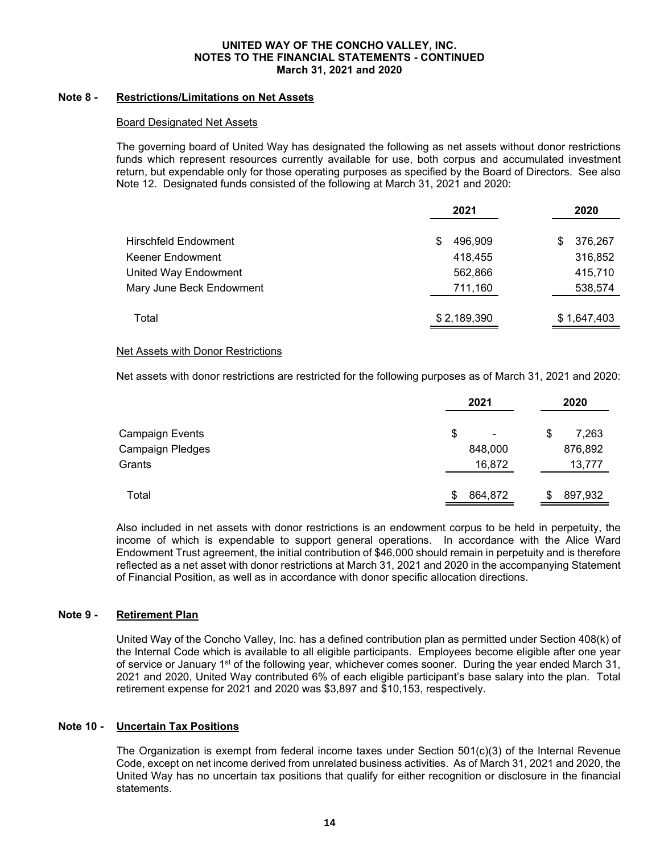# **Note 8 - Restrictions/Limitations on Net Assets**

# Board Designated Net Assets

The governing board of United Way has designated the following as net assets without donor restrictions funds which represent resources currently available for use, both corpus and accumulated investment return, but expendable only for those operating purposes as specified by the Board of Directors. See also Note 12. Designated funds consisted of the following at March 31, 2021 and 2020:

|                          | 2021          | 2020          |
|--------------------------|---------------|---------------|
| Hirschfeld Endowment     | 496,909<br>\$ | 376,267<br>\$ |
| Keener Endowment         | 418,455       | 316,852       |
| United Way Endowment     | 562,866       | 415,710       |
| Mary June Beck Endowment | 711,160       | 538,574       |
| Total                    | \$2,189,390   | \$1,647,403   |

#### Net Assets with Donor Restrictions

Net assets with donor restrictions are restricted for the following purposes as of March 31, 2021 and 2020:

|                  | 2021         | 2020         |
|------------------|--------------|--------------|
| Campaign Events  | \$           | 7,263<br>\$  |
| Campaign Pledges | 848,000      | 876,892      |
| Grants           | 16,872       | 13,777       |
| Total            | 864,872<br>S | 897,932<br>S |

Also included in net assets with donor restrictions is an endowment corpus to be held in perpetuity, the income of which is expendable to support general operations. In accordance with the Alice Ward Endowment Trust agreement, the initial contribution of \$46,000 should remain in perpetuity and is therefore reflected as a net asset with donor restrictions at March 31, 2021 and 2020 in the accompanying Statement of Financial Position, as well as in accordance with donor specific allocation directions.

# **Note 9 - Retirement Plan**

United Way of the Concho Valley, Inc. has a defined contribution plan as permitted under Section 408(k) of the Internal Code which is available to all eligible participants. Employees become eligible after one year of service or January 1<sup>st</sup> of the following year, whichever comes sooner. During the year ended March 31, 2021 and 2020, United Way contributed 6% of each eligible participant's base salary into the plan. Total retirement expense for 2021 and 2020 was \$3,897 and \$10,153, respectively.

# **Note 10 - Uncertain Tax Positions**

The Organization is exempt from federal income taxes under Section 501(c)(3) of the Internal Revenue Code, except on net income derived from unrelated business activities. As of March 31, 2021 and 2020, the United Way has no uncertain tax positions that qualify for either recognition or disclosure in the financial statements.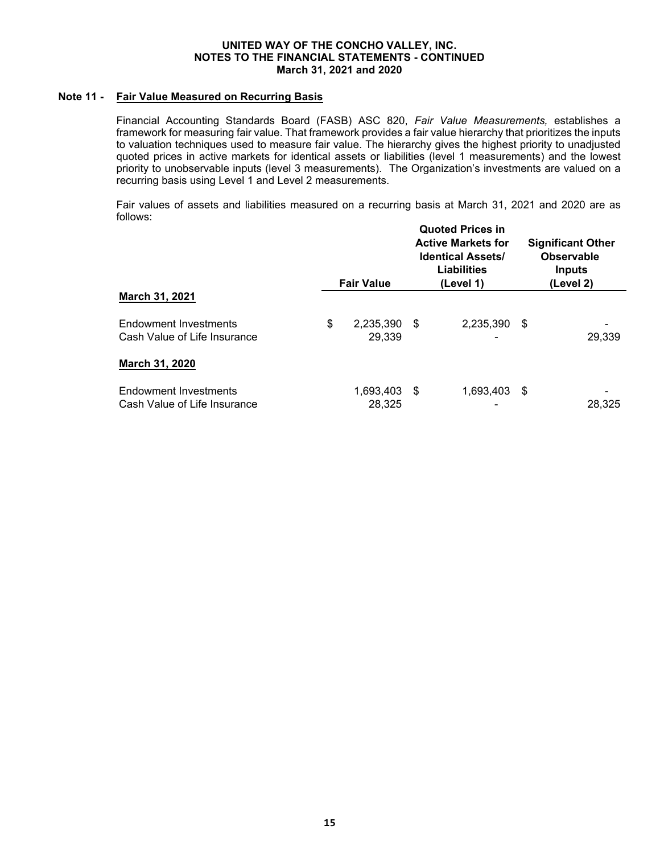# **Note 11 - Fair Value Measured on Recurring Basis**

Financial Accounting Standards Board (FASB) ASC 820, *Fair Value Measurements,* establishes a framework for measuring fair value. That framework provides a fair value hierarchy that prioritizes the inputs to valuation techniques used to measure fair value. The hierarchy gives the highest priority to unadjusted quoted prices in active markets for identical assets or liabilities (level 1 measurements) and the lowest priority to unobservable inputs (level 3 measurements). The Organization's investments are valued on a recurring basis using Level 1 and Level 2 measurements.

Fair values of assets and liabilities measured on a recurring basis at March 31, 2021 and 2020 are as follows:

|                                                              | <b>Fair Value</b>         |      | <b>Quoted Prices in</b><br><b>Active Markets for</b><br><b>Identical Assets/</b><br>Liabilities<br>(Level 1) |      | <b>Significant Other</b><br><b>Observable</b><br>Inputs<br>(Level 2) |  |
|--------------------------------------------------------------|---------------------------|------|--------------------------------------------------------------------------------------------------------------|------|----------------------------------------------------------------------|--|
| March 31, 2021                                               |                           |      |                                                                                                              |      |                                                                      |  |
| Endowment Investments<br>Cash Value of Life Insurance        | \$<br>2,235,390<br>29,339 | - \$ | 2,235,390<br>-                                                                                               | - \$ | 29,339                                                               |  |
| March 31, 2020                                               |                           |      |                                                                                                              |      |                                                                      |  |
| <b>Endowment Investments</b><br>Cash Value of Life Insurance | 1,693,403<br>28,325       | - \$ | 1,693,403<br>-                                                                                               | - \$ | 28,325                                                               |  |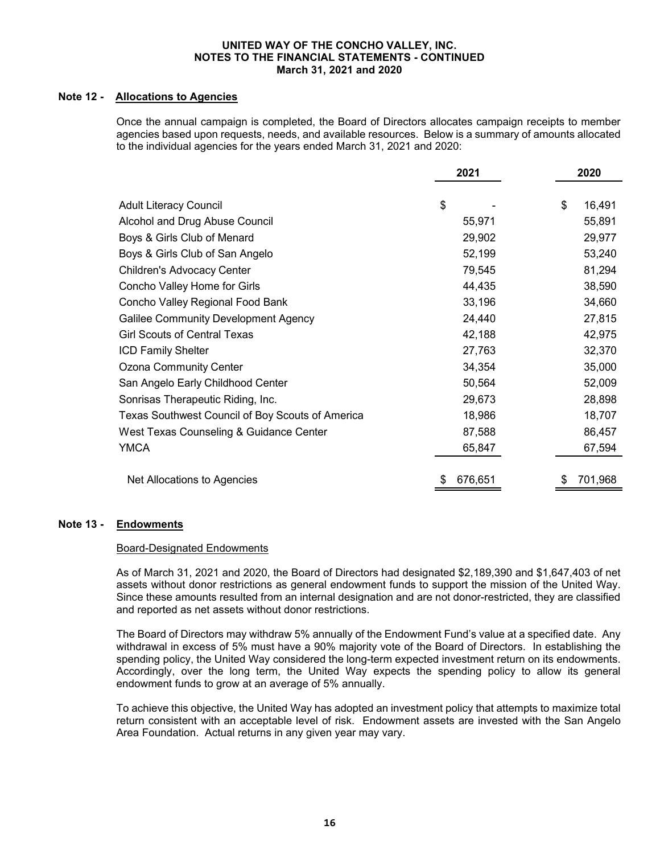# **Note 12 - Allocations to Agencies**

Once the annual campaign is completed, the Board of Directors allocates campaign receipts to member agencies based upon requests, needs, and available resources. Below is a summary of amounts allocated to the individual agencies for the years ended March 31, 2021 and 2020:

|                                                  | 2021          | 2020          |
|--------------------------------------------------|---------------|---------------|
|                                                  |               |               |
| <b>Adult Literacy Council</b>                    | \$            | \$<br>16,491  |
| Alcohol and Drug Abuse Council                   | 55,971        | 55,891        |
| Boys & Girls Club of Menard                      | 29,902        | 29,977        |
| Boys & Girls Club of San Angelo                  | 52,199        | 53,240        |
| Children's Advocacy Center                       | 79,545        | 81,294        |
| Concho Valley Home for Girls                     | 44,435        | 38,590        |
| Concho Valley Regional Food Bank                 | 33,196        | 34,660        |
| <b>Galilee Community Development Agency</b>      | 24,440        | 27,815        |
| <b>Girl Scouts of Central Texas</b>              | 42,188        | 42,975        |
| <b>ICD Family Shelter</b>                        | 27,763        | 32,370        |
| <b>Ozona Community Center</b>                    | 34,354        | 35,000        |
| San Angelo Early Childhood Center                | 50,564        | 52,009        |
| Sonrisas Therapeutic Riding, Inc.                | 29,673        | 28,898        |
| Texas Southwest Council of Boy Scouts of America | 18,986        | 18,707        |
| West Texas Counseling & Guidance Center          | 87,588        | 86,457        |
| <b>YMCA</b>                                      | 65,847        | 67,594        |
|                                                  |               |               |
| Net Allocations to Agencies                      | 676,651<br>\$ | 701,968<br>\$ |

# **Note 13 - Endowments**

# Board-Designated Endowments

As of March 31, 2021 and 2020, the Board of Directors had designated \$2,189,390 and \$1,647,403 of net assets without donor restrictions as general endowment funds to support the mission of the United Way. Since these amounts resulted from an internal designation and are not donor-restricted, they are classified and reported as net assets without donor restrictions.

The Board of Directors may withdraw 5% annually of the Endowment Fund's value at a specified date. Any withdrawal in excess of 5% must have a 90% majority vote of the Board of Directors. In establishing the spending policy, the United Way considered the long-term expected investment return on its endowments. Accordingly, over the long term, the United Way expects the spending policy to allow its general endowment funds to grow at an average of 5% annually.

To achieve this objective, the United Way has adopted an investment policy that attempts to maximize total return consistent with an acceptable level of risk. Endowment assets are invested with the San Angelo Area Foundation. Actual returns in any given year may vary.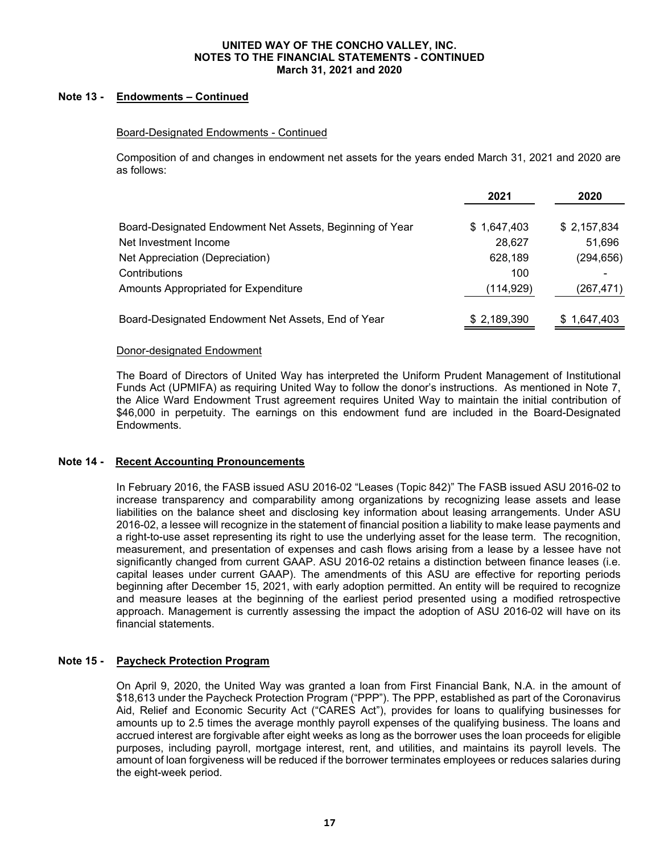# **Note 13 - Endowments – Continued**

# Board-Designated Endowments - Continued

Composition of and changes in endowment net assets for the years ended March 31, 2021 and 2020 are as follows:

|                                                          | 2021        | 2020        |
|----------------------------------------------------------|-------------|-------------|
| Board-Designated Endowment Net Assets, Beginning of Year | \$1,647,403 | \$2,157,834 |
| Net Investment Income                                    | 28,627      | 51,696      |
| Net Appreciation (Depreciation)                          | 628,189     | (294, 656)  |
| Contributions                                            | 100         |             |
| Amounts Appropriated for Expenditure                     | (114, 929)  | (267, 471)  |
| Board-Designated Endowment Net Assets, End of Year       | \$2,189,390 | \$1,647,403 |

#### Donor-designated Endowment

The Board of Directors of United Way has interpreted the Uniform Prudent Management of Institutional Funds Act (UPMIFA) as requiring United Way to follow the donor's instructions. As mentioned in Note 7, the Alice Ward Endowment Trust agreement requires United Way to maintain the initial contribution of \$46,000 in perpetuity. The earnings on this endowment fund are included in the Board-Designated Endowments.

# **Note 14 - Recent Accounting Pronouncements**

In February 2016, the FASB issued ASU 2016-02 "Leases (Topic 842)" The FASB issued ASU 2016-02 to increase transparency and comparability among organizations by recognizing lease assets and lease liabilities on the balance sheet and disclosing key information about leasing arrangements. Under ASU 2016-02, a lessee will recognize in the statement of financial position a liability to make lease payments and a right-to-use asset representing its right to use the underlying asset for the lease term. The recognition, measurement, and presentation of expenses and cash flows arising from a lease by a lessee have not significantly changed from current GAAP. ASU 2016-02 retains a distinction between finance leases (i.e. capital leases under current GAAP). The amendments of this ASU are effective for reporting periods beginning after December 15, 2021, with early adoption permitted. An entity will be required to recognize and measure leases at the beginning of the earliest period presented using a modified retrospective approach. Management is currently assessing the impact the adoption of ASU 2016-02 will have on its financial statements.

# **Note 15 - Paycheck Protection Program**

On April 9, 2020, the United Way was granted a loan from First Financial Bank, N.A. in the amount of \$18,613 under the Paycheck Protection Program ("PPP"). The PPP, established as part of the Coronavirus Aid, Relief and Economic Security Act ("CARES Act"), provides for loans to qualifying businesses for amounts up to 2.5 times the average monthly payroll expenses of the qualifying business. The loans and accrued interest are forgivable after eight weeks as long as the borrower uses the loan proceeds for eligible purposes, including payroll, mortgage interest, rent, and utilities, and maintains its payroll levels. The amount of loan forgiveness will be reduced if the borrower terminates employees or reduces salaries during the eight-week period.